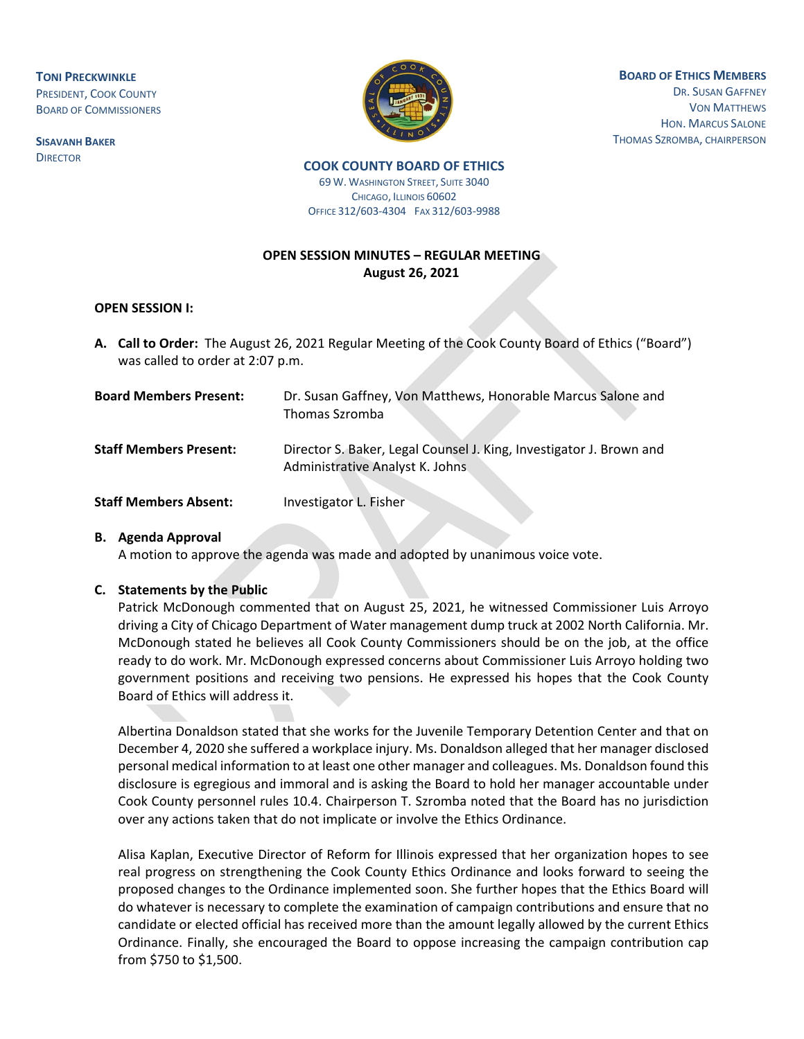**TONI PRECKWINKLE** PRESIDENT, COOK COUNTY BOARD OF COMMISSIONERS

**SISAVANH BAKER DIRECTOR** 



**BOARD OF ETHICS MEMBERS** DR. SUSAN GAFFNEY VON MATTHEWS HON. MARCUS SALONE THOMAS SZROMBA, CHAIRPERSON

# **COOK COUNTY BOARD OF ETHICS**

69 W. WASHINGTON STREET, SUITE 3040 CHICAGO, ILLINOIS 60602 OFFICE 312/603-4304 FAX 312/603-9988

## **OPEN SESSION MINUTES – REGULAR MEETING August 26, 2021**

#### **OPEN SESSION I:**

**A. Call to Order:** The August 26, 2021 Regular Meeting of the Cook County Board of Ethics ("Board") was called to order at 2:07 p.m.

| <b>Board Members Present:</b> | Dr. Susan Gaffney, Von Matthews, Honorable Marcus Salone and<br>Thomas Szromba                         |
|-------------------------------|--------------------------------------------------------------------------------------------------------|
| <b>Staff Members Present:</b> | Director S. Baker, Legal Counsel J. King, Investigator J. Brown and<br>Administrative Analyst K. Johns |
| <b>Staff Members Absent:</b>  | Investigator L. Fisher                                                                                 |

#### **B. Agenda Approval**

A motion to approve the agenda was made and adopted by unanimous voice vote.

#### **C. Statements by the Public**

Patrick McDonough commented that on August 25, 2021, he witnessed Commissioner Luis Arroyo driving a City of Chicago Department of Water management dump truck at 2002 North California. Mr. McDonough stated he believes all Cook County Commissioners should be on the job, at the office ready to do work. Mr. McDonough expressed concerns about Commissioner Luis Arroyo holding two government positions and receiving two pensions. He expressed his hopes that the Cook County Board of Ethics will address it.

Albertina Donaldson stated that she works for the Juvenile Temporary Detention Center and that on December 4, 2020 she suffered a workplace injury. Ms. Donaldson alleged that her manager disclosed personal medical information to at least one other manager and colleagues. Ms. Donaldson found this disclosure is egregious and immoral and is asking the Board to hold her manager accountable under Cook County personnel rules 10.4. Chairperson T. Szromba noted that the Board has no jurisdiction over any actions taken that do not implicate or involve the Ethics Ordinance.

Alisa Kaplan, Executive Director of Reform for Illinois expressed that her organization hopes to see real progress on strengthening the Cook County Ethics Ordinance and looks forward to seeing the proposed changes to the Ordinance implemented soon. She further hopes that the Ethics Board will do whatever is necessary to complete the examination of campaign contributions and ensure that no candidate or elected official has received more than the amount legally allowed by the current Ethics Ordinance. Finally, she encouraged the Board to oppose increasing the campaign contribution cap from \$750 to \$1,500.